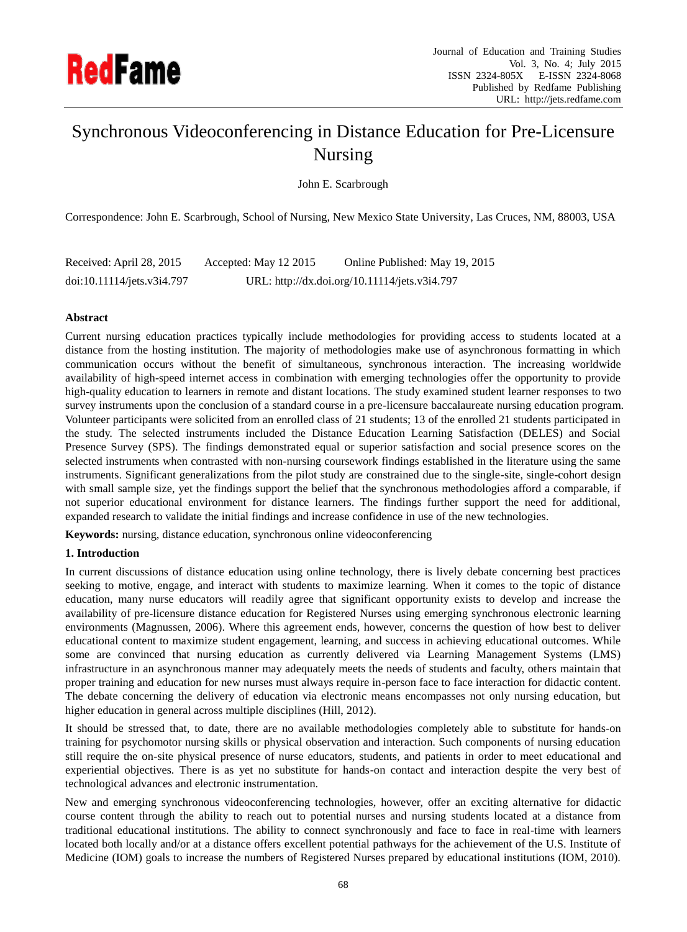

# Synchronous Videoconferencing in Distance Education for Pre-Licensure Nursing

John E. Scarbrough

Correspondence: John E. Scarbrough, School of Nursing, New Mexico State University, Las Cruces, NM, 88003, USA

| Received: April 28, 2015   | Accepted: May 12 2015 | Online Published: May 19, 2015                |
|----------------------------|-----------------------|-----------------------------------------------|
| doi:10.11114/jets.v3i4.797 |                       | URL: http://dx.doi.org/10.11114/jets.v3i4.797 |

## **Abstract**

Current nursing education practices typically include methodologies for providing access to students located at a distance from the hosting institution. The majority of methodologies make use of asynchronous formatting in which communication occurs without the benefit of simultaneous, synchronous interaction. The increasing worldwide availability of high-speed internet access in combination with emerging technologies offer the opportunity to provide high-quality education to learners in remote and distant locations. The study examined student learner responses to two survey instruments upon the conclusion of a standard course in a pre-licensure baccalaureate nursing education program. Volunteer participants were solicited from an enrolled class of 21 students; 13 of the enrolled 21 students participated in the study. The selected instruments included the Distance Education Learning Satisfaction (DELES) and Social Presence Survey (SPS). The findings demonstrated equal or superior satisfaction and social presence scores on the selected instruments when contrasted with non-nursing coursework findings established in the literature using the same instruments. Significant generalizations from the pilot study are constrained due to the single-site, single-cohort design with small sample size, yet the findings support the belief that the synchronous methodologies afford a comparable, if not superior educational environment for distance learners. The findings further support the need for additional, expanded research to validate the initial findings and increase confidence in use of the new technologies.

**Keywords:** nursing, distance education, synchronous online videoconferencing

## **1. Introduction**

In current discussions of distance education using online technology, there is lively debate concerning best practices seeking to motive, engage, and interact with students to maximize learning. When it comes to the topic of distance education, many nurse educators will readily agree that significant opportunity exists to develop and increase the availability of pre-licensure distance education for Registered Nurses using emerging synchronous electronic learning environments (Magnussen, 2006). Where this agreement ends, however, concerns the question of how best to deliver educational content to maximize student engagement, learning, and success in achieving educational outcomes. While some are convinced that nursing education as currently delivered via Learning Management Systems (LMS) infrastructure in an asynchronous manner may adequately meets the needs of students and faculty, others maintain that proper training and education for new nurses must always require in-person face to face interaction for didactic content. The debate concerning the delivery of education via electronic means encompasses not only nursing education, but higher education in general across multiple disciplines (Hill, 2012).

It should be stressed that, to date, there are no available methodologies completely able to substitute for hands-on training for psychomotor nursing skills or physical observation and interaction. Such components of nursing education still require the on-site physical presence of nurse educators, students, and patients in order to meet educational and experiential objectives. There is as yet no substitute for hands-on contact and interaction despite the very best of technological advances and electronic instrumentation.

New and emerging synchronous videoconferencing technologies, however, offer an exciting alternative for didactic course content through the ability to reach out to potential nurses and nursing students located at a distance from traditional educational institutions. The ability to connect synchronously and face to face in real-time with learners located both locally and/or at a distance offers excellent potential pathways for the achievement of the U.S. Institute of Medicine (IOM) goals to increase the numbers of Registered Nurses prepared by educational institutions (IOM, 2010).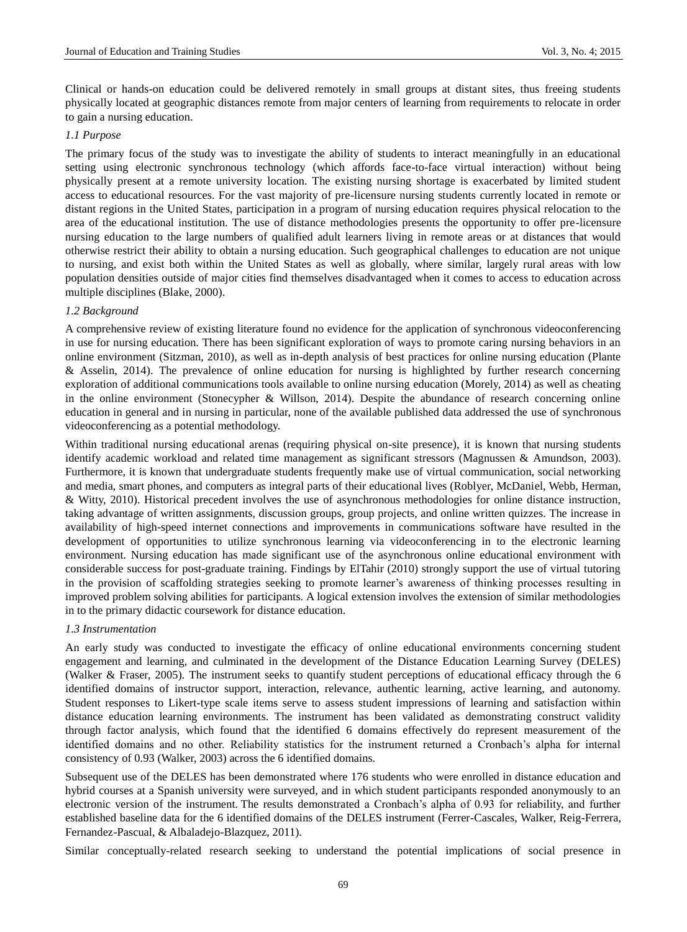Clinical or hands-on education could be delivered remotely in small groups at distant sites, thus freeing students physically located at geographic distances remote from major centers of learning from requirements to relocate in order to gain a nursing education.

## *1.1 Purpose*

The primary focus of the study was to investigate the ability of students to interact meaningfully in an educational setting using electronic synchronous technology (which affords face-to-face virtual interaction) without being physically present at a remote university location. The existing nursing shortage is exacerbated by limited student access to educational resources. For the vast majority of pre-licensure nursing students currently located in remote or distant regions in the United States, participation in a program of nursing education requires physical relocation to the area of the educational institution. The use of distance methodologies presents the opportunity to offer pre-licensure nursing education to the large numbers of qualified adult learners living in remote areas or at distances that would otherwise restrict their ability to obtain a nursing education. Such geographical challenges to education are not unique to nursing, and exist both within the United States as well as globally, where similar, largely rural areas with low population densities outside of major cities find themselves disadvantaged when it comes to access to education across multiple disciplines (Blake, 2000).

## *1.2 Background*

A comprehensive review of existing literature found no evidence for the application of synchronous videoconferencing in use for nursing education. There has been significant exploration of ways to promote caring nursing behaviors in an online environment (Sitzman, 2010), as well as in-depth analysis of best practices for online nursing education (Plante & Asselin, 2014). The prevalence of online education for nursing is highlighted by further research concerning exploration of additional communications tools available to online nursing education (Morely, 2014) as well as cheating in the online environment (Stonecypher & Willson, 2014). Despite the abundance of research concerning online education in general and in nursing in particular, none of the available published data addressed the use of synchronous videoconferencing as a potential methodology.

Within traditional nursing educational arenas (requiring physical on-site presence), it is known that nursing students identify academic workload and related time management as significant stressors (Magnussen & Amundson, 2003). Furthermore, it is known that undergraduate students frequently make use of virtual communication, social networking and media, smart phones, and computers as integral parts of their educational lives (Roblyer, McDaniel, Webb, Herman, & Witty, 2010). Historical precedent involves the use of asynchronous methodologies for online distance instruction, taking advantage of written assignments, discussion groups, group projects, and online written quizzes. The increase in availability of high-speed internet connections and improvements in communications software have resulted in the development of opportunities to utilize synchronous learning via videoconferencing in to the electronic learning environment. Nursing education has made significant use of the asynchronous online educational environment with considerable success for post-graduate training. Findings by ElTahir (2010) strongly support the use of virtual tutoring in the provision of scaffolding strategies seeking to promote learner's awareness of thinking processes resulting in improved problem solving abilities for participants. A logical extension involves the extension of similar methodologies in to the primary didactic coursework for distance education.

#### *1.3 Instrumentation*

An early study was conducted to investigate the efficacy of online educational environments concerning student engagement and learning, and culminated in the development of the Distance Education Learning Survey (DELES) (Walker & Fraser, 2005). The instrument seeks to quantify student perceptions of educational efficacy through the 6 identified domains of instructor support, interaction, relevance, authentic learning, active learning, and autonomy. Student responses to Likert-type scale items serve to assess student impressions of learning and satisfaction within distance education learning environments. The instrument has been validated as demonstrating construct validity through factor analysis, which found that the identified 6 domains effectively do represent measurement of the identified domains and no other. Reliability statistics for the instrument returned a Cronbach's alpha for internal consistency of 0.93 (Walker, 2003) across the 6 identified domains.

Subsequent use of the DELES has been demonstrated where 176 students who were enrolled in distance education and hybrid courses at a Spanish university were surveyed, and in which student participants responded anonymously to an electronic version of the instrument. The results demonstrated a Cronbach's alpha of 0.93 for reliability, and further established baseline data for the 6 identified domains of the DELES instrument (Ferrer-Cascales, Walker, Reig-Ferrera, Fernandez-Pascual, & Albaladejo-Blazquez, 2011).

Similar conceptually-related research seeking to understand the potential implications of social presence in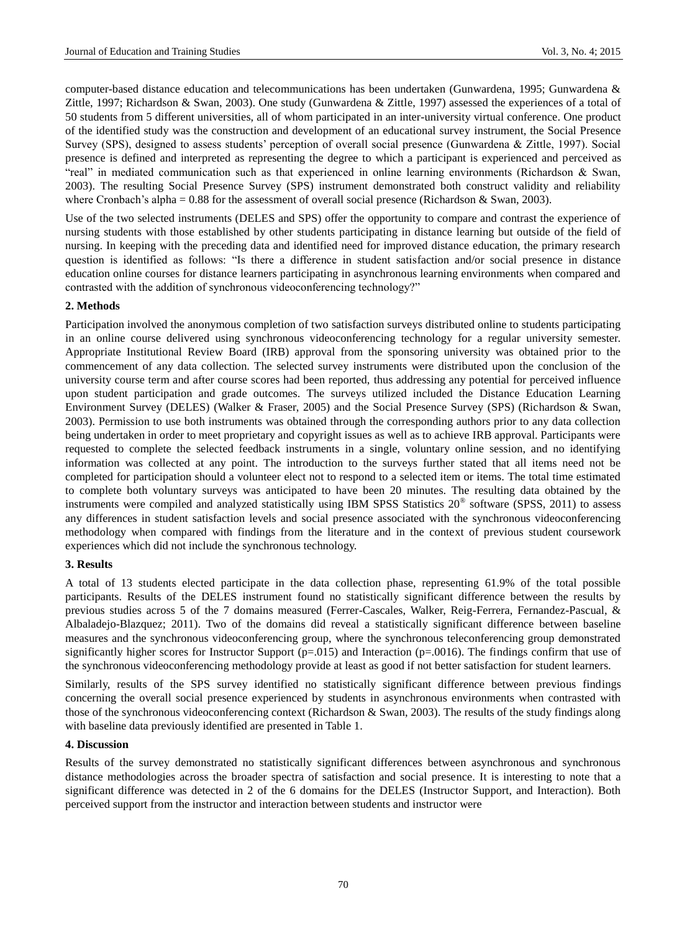computer-based distance education and telecommunications has been undertaken (Gunwardena, 1995; Gunwardena & Zittle, 1997; Richardson & Swan, 2003). One study (Gunwardena & Zittle, 1997) assessed the experiences of a total of 50 students from 5 different universities, all of whom participated in an inter-university virtual conference. One product of the identified study was the construction and development of an educational survey instrument, the Social Presence Survey (SPS), designed to assess students' perception of overall social presence (Gunwardena & Zittle, 1997). Social presence is defined and interpreted as representing the degree to which a participant is experienced and perceived as "real" in mediated communication such as that experienced in online learning environments (Richardson & Swan, 2003). The resulting Social Presence Survey (SPS) instrument demonstrated both construct validity and reliability where Cronbach's alpha = 0.88 for the assessment of overall social presence (Richardson & Swan, 2003).

Use of the two selected instruments (DELES and SPS) offer the opportunity to compare and contrast the experience of nursing students with those established by other students participating in distance learning but outside of the field of nursing. In keeping with the preceding data and identified need for improved distance education, the primary research question is identified as follows: "Is there a difference in student satisfaction and/or social presence in distance education online courses for distance learners participating in asynchronous learning environments when compared and contrasted with the addition of synchronous videoconferencing technology?"

## **2. Methods**

Participation involved the anonymous completion of two satisfaction surveys distributed online to students participating in an online course delivered using synchronous videoconferencing technology for a regular university semester. Appropriate Institutional Review Board (IRB) approval from the sponsoring university was obtained prior to the commencement of any data collection. The selected survey instruments were distributed upon the conclusion of the university course term and after course scores had been reported, thus addressing any potential for perceived influence upon student participation and grade outcomes. The surveys utilized included the Distance Education Learning Environment Survey (DELES) (Walker & Fraser, 2005) and the Social Presence Survey (SPS) (Richardson & Swan, 2003). Permission to use both instruments was obtained through the corresponding authors prior to any data collection being undertaken in order to meet proprietary and copyright issues as well as to achieve IRB approval. Participants were requested to complete the selected feedback instruments in a single, voluntary online session, and no identifying information was collected at any point. The introduction to the surveys further stated that all items need not be completed for participation should a volunteer elect not to respond to a selected item or items. The total time estimated to complete both voluntary surveys was anticipated to have been 20 minutes. The resulting data obtained by the instruments were compiled and analyzed statistically using IBM SPSS Statistics 20® software (SPSS, 2011) to assess any differences in student satisfaction levels and social presence associated with the synchronous videoconferencing methodology when compared with findings from the literature and in the context of previous student coursework experiences which did not include the synchronous technology.

#### **3. Results**

A total of 13 students elected participate in the data collection phase, representing 61.9% of the total possible participants. Results of the DELES instrument found no statistically significant difference between the results by previous studies across 5 of the 7 domains measured (Ferrer-Cascales, Walker, Reig-Ferrera, Fernandez-Pascual, & Albaladejo-Blazquez; 2011). Two of the domains did reveal a statistically significant difference between baseline measures and the synchronous videoconferencing group, where the synchronous teleconferencing group demonstrated significantly higher scores for Instructor Support ( $p=.015$ ) and Interaction ( $p=.0016$ ). The findings confirm that use of the synchronous videoconferencing methodology provide at least as good if not better satisfaction for student learners.

Similarly, results of the SPS survey identified no statistically significant difference between previous findings concerning the overall social presence experienced by students in asynchronous environments when contrasted with those of the synchronous videoconferencing context (Richardson & Swan, 2003). The results of the study findings along with baseline data previously identified are presented in Table 1.

#### **4. Discussion**

Results of the survey demonstrated no statistically significant differences between asynchronous and synchronous distance methodologies across the broader spectra of satisfaction and social presence. It is interesting to note that a significant difference was detected in 2 of the 6 domains for the DELES (Instructor Support, and Interaction). Both perceived support from the instructor and interaction between students and instructor were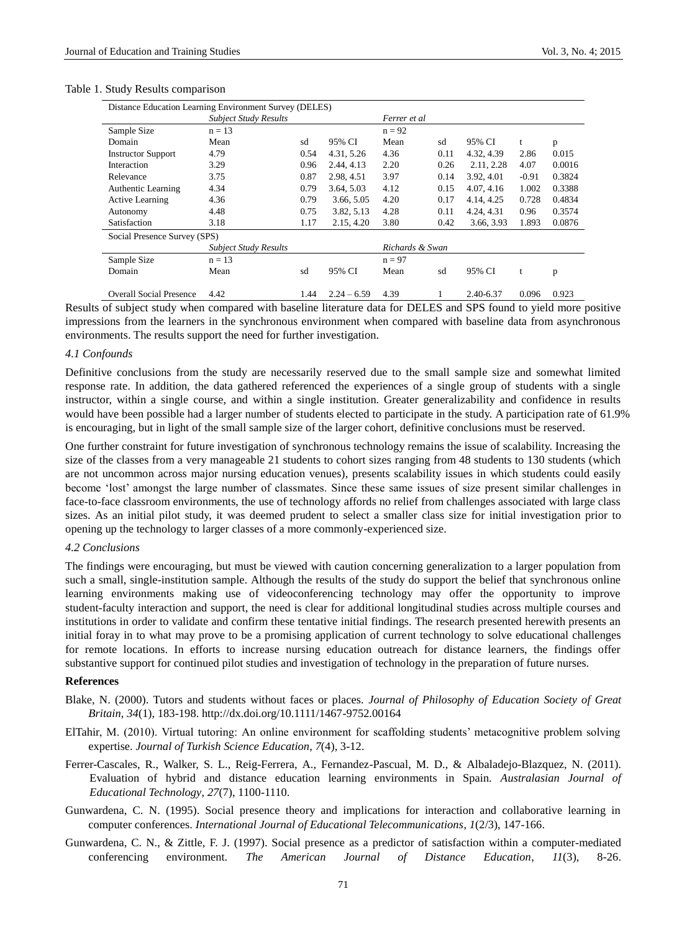| Distance Education Learning Environment Survey (DELES) |                              |      |               |                 |      |            |         |        |  |
|--------------------------------------------------------|------------------------------|------|---------------|-----------------|------|------------|---------|--------|--|
|                                                        | <b>Subject Study Results</b> |      |               | Ferrer et al    |      |            |         |        |  |
| Sample Size                                            | $n = 13$                     |      |               | $n = 92$        |      |            |         |        |  |
| Domain                                                 | Mean                         | sd   | 95% CI        | Mean            | sd   | 95% CI     | t.      | p      |  |
| <b>Instructor Support</b>                              | 4.79                         | 0.54 | 4.31, 5.26    | 4.36            | 0.11 | 4.32, 4.39 | 2.86    | 0.015  |  |
| Interaction                                            | 3.29                         | 0.96 | 2.44, 4.13    | 2.20            | 0.26 | 2.11, 2.28 | 4.07    | 0.0016 |  |
| Relevance                                              | 3.75                         | 0.87 | 2.98, 4.51    | 3.97            | 0.14 | 3.92, 4.01 | $-0.91$ | 0.3824 |  |
| <b>Authentic Learning</b>                              | 4.34                         | 0.79 | 3.64, 5.03    | 4.12            | 0.15 | 4.07, 4.16 | 1.002   | 0.3388 |  |
| <b>Active Learning</b>                                 | 4.36                         | 0.79 | 3.66, 5.05    | 4.20            | 0.17 | 4.14.4.25  | 0.728   | 0.4834 |  |
| Autonomy                                               | 4.48                         | 0.75 | 3.82, 5.13    | 4.28            | 0.11 | 4.24, 4.31 | 0.96    | 0.3574 |  |
| Satisfaction                                           | 3.18                         | 1.17 | 2.15, 4.20    | 3.80            | 0.42 | 3.66, 3.93 | 1.893   | 0.0876 |  |
| Social Presence Survey (SPS)                           |                              |      |               |                 |      |            |         |        |  |
|                                                        | <b>Subject Study Results</b> |      |               | Richards & Swan |      |            |         |        |  |
| Sample Size                                            | $n = 13$                     |      |               | $n = 97$        |      |            |         |        |  |
| Domain                                                 | Mean                         | sd   | 95% CI        | Mean            | sd   | 95% CI     | t       | p      |  |
| <b>Overall Social Presence</b>                         | 4.42                         | 1.44 | $2.24 - 6.59$ | 4.39            |      | 2.40-6.37  | 0.096   | 0.923  |  |

### Table 1. Study Results comparison

Results of subject study when compared with baseline literature data for DELES and SPS found to yield more positive impressions from the learners in the synchronous environment when compared with baseline data from asynchronous environments. The results support the need for further investigation.

### *4.1 Confounds*

Definitive conclusions from the study are necessarily reserved due to the small sample size and somewhat limited response rate. In addition, the data gathered referenced the experiences of a single group of students with a single instructor, within a single course, and within a single institution. Greater generalizability and confidence in results would have been possible had a larger number of students elected to participate in the study. A participation rate of 61.9% is encouraging, but in light of the small sample size of the larger cohort, definitive conclusions must be reserved.

One further constraint for future investigation of synchronous technology remains the issue of scalability. Increasing the size of the classes from a very manageable 21 students to cohort sizes ranging from 48 students to 130 students (which are not uncommon across major nursing education venues), presents scalability issues in which students could easily become 'lost' amongst the large number of classmates. Since these same issues of size present similar challenges in face-to-face classroom environments, the use of technology affords no relief from challenges associated with large class sizes. As an initial pilot study, it was deemed prudent to select a smaller class size for initial investigation prior to opening up the technology to larger classes of a more commonly-experienced size.

## *4.2 Conclusions*

The findings were encouraging, but must be viewed with caution concerning generalization to a larger population from such a small, single-institution sample. Although the results of the study do support the belief that synchronous online learning environments making use of videoconferencing technology may offer the opportunity to improve student-faculty interaction and support, the need is clear for additional longitudinal studies across multiple courses and institutions in order to validate and confirm these tentative initial findings. The research presented herewith presents an initial foray in to what may prove to be a promising application of current technology to solve educational challenges for remote locations. In efforts to increase nursing education outreach for distance learners, the findings offer substantive support for continued pilot studies and investigation of technology in the preparation of future nurses.

## **References**

- Blake, N. (2000). Tutors and students without faces or places. *Journal of Philosophy of Education Society of Great Britain*, *34*(1), 183-198. http://dx.doi.org/10.1111/1467-9752.00164
- ElTahir, M. (2010). Virtual tutoring: An online environment for scaffolding students' metacognitive problem solving expertise. *Journal of Turkish Science Education*, *7*(4), 3-12.
- Ferrer-Cascales, R., Walker, S. L., Reig-Ferrera, A., Fernandez-Pascual, M. D., & Albaladejo-Blazquez, N. (2011). Evaluation of hybrid and distance education learning environments in Spain. *Australasian Journal of Educational Technology*, *27*(7), 1100-1110.
- Gunwardena, C. N. (1995). Social presence theory and implications for interaction and collaborative learning in computer conferences. *International Journal of Educational Telecommunications*, *1*(2/3), 147-166.
- Gunwardena, C. N., & Zittle, F. J. (1997). Social presence as a predictor of satisfaction within a computer-mediated conferencing environment. *The American Journal of Distance Education*, *11*(3), 8-26.